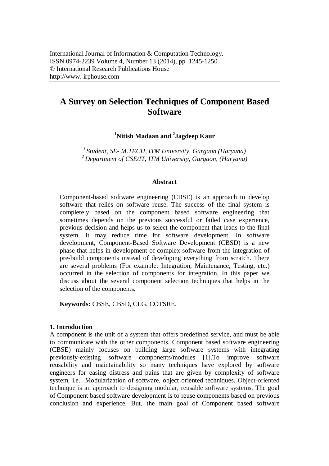# **A Survey on Selection Techniques of Component Based Software**

**<sup>1</sup>Nitish Madaan and <sup>2</sup> Jagdeep Kaur**

*1 Student, SE- M.TECH, ITM University, Gurgaon (Haryana) <sup>2</sup> Department of CSE/IT, ITM University, Gurgaon, (Haryana)*

#### **Abstract**

Component-based software engineering (CBSE) is an approach to develop software that relies on software reuse. The success of the final system is completely based on the component based software engineering that sometimes depends on the previous successful or failed case experience, previous decision and helps us to select the component that leads to the final system. It may reduce time for software development. In software development, Component-Based Software Development (CBSD) is a new phase that helps in development of complex software from the integration of pre-build components instead of developing everything from scratch. There are several problems (For example: Integration, Maintenance, Testing, etc.) occurred in the selection of components for integration. In this paper we discuss about the several component selection techniques that helps in the selection of the components.

**Keywords:** CBSE, CBSD, CLG, COTSRE.

# **1. Introduction**

A component is the unit of a system that offers predefined service, and must be able to communicate with the other components. Component based software engineering (CBSE) mainly focuses on building large software systems with integrating previously-existing software components/modules [1].To improve software reusability and maintainability so many techniques have explored by software engineers for easing distress and pains that are given by complexity of software system, i.e. Modularization of software, object oriented techniques. Object-oriented technique is an approach to designing modular, reusable software systems. The goal of Component based software development is to reuse components based on previous conclusion and experience. But, the main goal of Component based software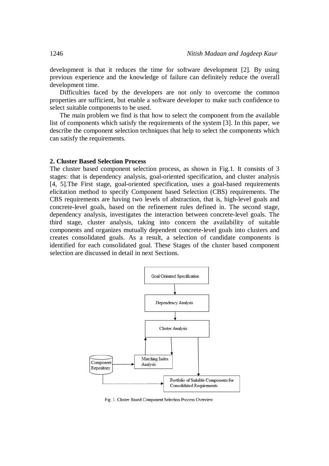development is that it reduces the time for software development [2]. By using previous experience and the knowledge of failure can definitely reduce the overall development time.

Difficulties faced by the developers are not only to overcome the common properties are sufficient, but enable a software developer to make such confidence to select suitable components to be used.

The main problem we find is that how to select the component from the available list of components which satisfy the requirements of the system [3]. In this paper, we describe the component selection techniques that help to select the components which can satisfy the requirements.

#### **2. Cluster Based Selection Process**

The cluster based component selection process, as shown in Fig.1*.* It consists of 3 stages: that is dependency analysis, goal-oriented specification, and cluster analysis [4, 5].The First stage, goal-oriented specification, uses a goal-based requirements elicitation method to specify Component based Selection (CBS) requirements. The CBS requirements are having two levels of abstraction, that is, high-level goals and concrete-level goals, based on the refinement rules defined in. The second stage, dependency analysis, investigates the interaction between concrete-level goals. The third stage, cluster analysis, taking into concern the availability of suitable components and organizes mutually dependent concrete-level goals into clusters and creates consolidated goals. As a result, a selection of candidate components is identified for each consolidated goal. These Stages of the cluster based component selection are discussed in detail in next Sections.



Fig. 1. Cluster Based Component Selection Process Overview.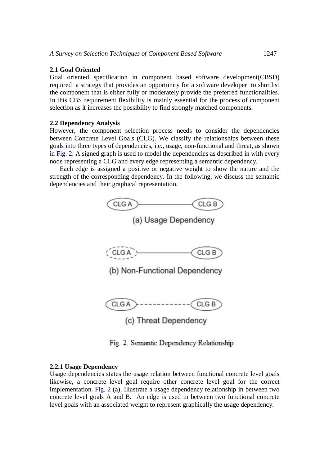#### **2.1 Goal Oriented**

Goal oriented specification in component based software development(CBSD) required a strategy that provides an opportunity for a software developer to shortlist the component that is either fully or moderately provide the preferred functionalities. In this CBS requirement flexibility is mainly essential for the process of component selection as it increases the possibility to find strongly matched components.

#### **2.2 Dependency Analysis**

However, the component selection process needs to consider the dependencies between Concrete Level Goals (CLG). We classify the relationships between these goals into three types of dependencies, i.e., usage, non-functional and threat, as shown in Fig. 2. A signed graph is used to model the dependencies as described in with every node representing a CLG and every edge representing a semantic dependency.

Each edge is assigned a positive or negative weight to show the nature and the strength of the corresponding dependency. In the following, we discuss the semantic dependencies and their graphical representation.



Fig. 2. Semantic Dependency Relationship

#### **2.2.1 Usage Dependency**

Usage dependencies states the usage relation between functional concrete level goals likewise, a concrete level goal require other concrete level goal for the correct implementation. Fig. 2 (a), Illustrate a usage dependency relationship in between two concrete level goals A and B. An edge is used in between two functional concrete level goals with an associated weight to represent graphically the usage dependency.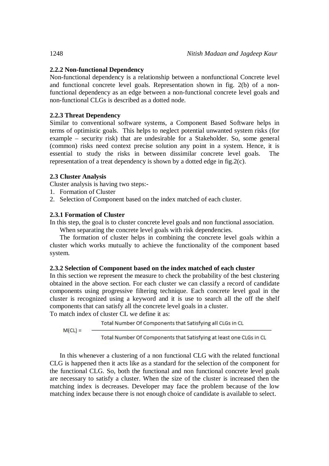# **2.2.2 Non-functional Dependency**

Non-functional dependency is a relationship between a nonfunctional Concrete level and functional concrete level goals. Representation shown in fig. 2(b) of a nonfunctional dependency as an edge between a non-functional concrete level goals and non-functional CLGs is described as a dotted node.

# **2.2.3 Threat Dependency**

Similar to conventional software systems, a Component Based Software helps in terms of optimistic goals. This helps to neglect potential unwanted system risks (for example – security risk) that are undesirable for a Stakeholder. So, some general (common) risks need context precise solution any point in a system. Hence, it is essential to study the risks in between dissimilar concrete level goals. The representation of a treat dependency is shown by a dotted edge in fig.2(c).

# **2.3 Cluster Analysis**

Cluster analysis is having two steps:-

- 1. Formation of Cluster
- 2. Selection of Component based on the index matched of each cluster.

# **2.3.1 Formation of Cluster**

In this step, the goal is to cluster concrete level goals and non functional association. When separating the concrete level goals with risk dependencies.

The formation of cluster helps in combining the concrete level goals within a

cluster which works mutually to achieve the functionality of the component based system.

# **2.3.2 Selection of Component based on the index matched of each cluster**

In this section we represent the measure to check the probability of the best clustering obtained in the above section. For each cluster we can classify a record of candidate components using progressive filtering technique. Each concrete level goal in the cluster is recognized using a keyword and it is use to search all the off the shelf components that can satisfy all the concrete level goals in a cluster.

To match index of cluster CL we define it as:

Total Number Of Components that Satisfying all CLGs in CL

 $M(Cl) =$ 

Total Number Of Components that Satisfying at least one CLGs in CL

In this whenever a clustering of a non functional CLG with the related functional CLG is happened then it acts like as a standard for the selection of the component for the functional CLG. So, both the functional and non functional concrete level goals are necessary to satisfy a cluster. When the size of the cluster is increased then the matching index is decreases. Developer may face the problem because of the low matching index because there is not enough choice of candidate is available to select.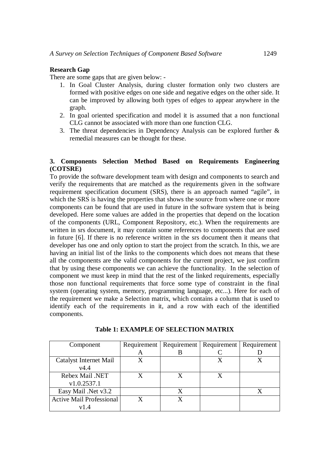# **Research Gap**

There are some gaps that are given below: -

- 1. In Goal Cluster Analysis, during cluster formation only two clusters are formed with positive edges on one side and negative edges on the other side. It can be improved by allowing both types of edges to appear anywhere in the graph.
- 2. In goal oriented specification and model it is assumed that a non functional CLG cannot be associated with more than one function CLG.
- 3. The threat dependencies in Dependency Analysis can be explored further & remedial measures can be thought for these.

# **3. Components Selection Method Based on Requirements Engineering (COTSRE)**

To provide the software development team with design and components to search and verify the requirements that are matched as the requirements given in the software requirement specification document (SRS), there is an approach named "agile", in which the SRS is having the properties that shows the source from where one or more components can be found that are used in future in the software system that is being developed. Here some values are added in the properties that depend on the location of the components (URL, Component Repository, etc.). When the requirements are written in srs document, it may contain some references to components that are used in future [6]. If there is no reference written in the srs document then it means that developer has one and only option to start the project from the scratch. In this, we are having an initial list of the links to the components which does not means that these all the components are the valid components for the current project, we just confirm that by using these components we can achieve the functionality. In the selection of component we must keep in mind that the rest of the linked requirements, especially those non functional requirements that force some type of constraint in the final system (operating system, memory, programming language, etc...). Here for each of the requirement we make a Selection matrix, which contains a column that is used to identify each of the requirements in it, and a row with each of the identified components.

| Component                       |   |   | Requirement   Requirement   Requirement   Requirement |  |
|---------------------------------|---|---|-------------------------------------------------------|--|
|                                 | A |   |                                                       |  |
| Catalyst Internet Mail          | X |   |                                                       |  |
| v4.4                            |   |   |                                                       |  |
| Rebex Mail .NET                 | X | X |                                                       |  |
| v1.0.2537.1                     |   |   |                                                       |  |
| Easy Mail .Net v3.2             |   | X |                                                       |  |
| <b>Active Mail Professional</b> |   |   |                                                       |  |
| v1.4                            |   |   |                                                       |  |

# **Table 1: EXAMPLE OF SELECTION MATRIX**